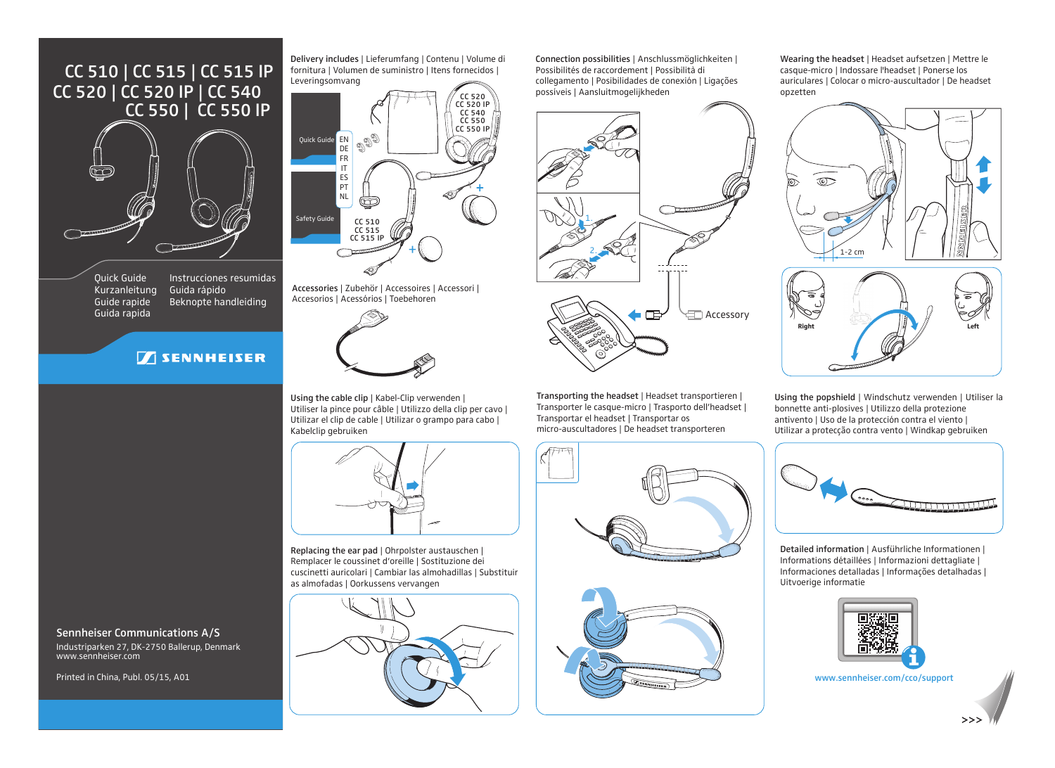## CC 510 | CC 515 | CC 515 IP CC 520 | CC 520 IP | CC 540 CC 550 | CC 550 IP



Quick Guide Kurzanleitung Guide rapide Guida rapida Instrucciones resumidas Guida rápido Beknopte handleiding

## **SENNHEISER**



Delivery includes | Lieferumfang | Contenu | Volume di fornitura | Volumen de suministro | Itens fornecidos |

Accessories | Zubehör | Accessoires | Accessori | Accesorios | Acessórios | Toebehoren



Using the cable clip | Kabel-Clip verwenden | Utiliser la pince pour câble | Utilizzo della clip per cavo | Utilizar el clip de cable | Utilizar o grampo para cabo | Kabelclip gebruiken



Replacing the ear pad | Ohrpolster austauschen | Remplacer le coussinet d'oreille | Sostituzione dei cuscinetti auricolari | Cambiar las almohadillas | Substituir as almofadas | Oorkussens vervangen



Connection possibilities | Anschlussmöglichkeiten | Possibilités de raccordement | Possibilità di collegamento | Posibilidades de conexión | Ligações possíveis | Aansluitmogelijkheden



Transporting the headset | Headset transportieren | Transporter le casque-micro | Trasporto dell'headset | Transportar el headset | Transportar os micro-auscultadores | De headset transporteren





Wearing the headset | Headset aufsetzen | Mettre le casque-micro | Indossare l'headset | Ponerse los auriculares | Colocar o micro-auscultador | De headset opzetten





Using the popshield | Windschutz verwenden | Utiliser la bonnette anti-plosives | Utilizzo della protezione antivento | Uso de la protección contra el viento | Utilizar a protecção contra vento | Windkap gebruiken



Detailed information | Ausführliche Informationen | Informations détaillées | Informazioni dettagliate | Informaciones detalladas | Informações detalhadas | Uitvoerige informatie



www.sennheiser.com/cco/support

Sennheiser Communications A/S

Industriparken 27, DK-2750 Ballerup, Denmark www.sennheiser.com

Printed in China, Publ. 05/15, A01